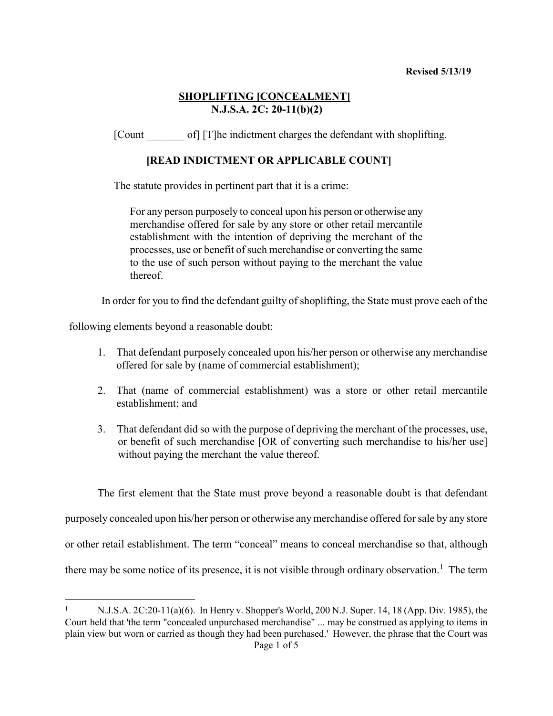### **SHOPLIFTING [CONCEALMENT] N.J.S.A. 2C: 20-11(b)(2)**

[Count of] [T]he indictment charges the defendant with shoplifting.

### **[READ INDICTMENT OR APPLICABLE COUNT]**

The statute provides in pertinent part that it is a crime:

For any person purposely to conceal upon his person or otherwise any merchandise offered for sale by any store or other retail mercantile establishment with the intention of depriving the merchant of the processes, use or benefit of such merchandise or converting the same to the use of such person without paying to the merchant the value thereof.

In order for you to find the defendant guilty of shoplifting, the State must prove each of the

following elements beyond a reasonable doubt:

- 1. That defendant purposely concealed upon his/her person or otherwise any merchandise offered for sale by (name of commercial establishment);
- 2. That (name of commercial establishment) was a store or other retail mercantile establishment; and
- 3. That defendant did so with the purpose of depriving the merchant of the processes, use, or benefit of such merchandise [OR of converting such merchandise to his/her use] without paying the merchant the value thereof.

The first element that the State must prove beyond a reasonable doubt is that defendant purposely concealed upon his/her person or otherwise any merchandise offered for sale by any store or other retail establishment. The term "conceal" means to conceal merchandise so that, although there may be some notice of its presence, it is not visible through ordinary observation.<sup>[1](#page-0-0)</sup> The term

<span id="page-0-0"></span>Page 1 of 5 1 N.J.S.A. 2C:20-11(a)(6). In Henry v. Shopper's World, 200 N.J. Super. 14, 18 (App. Div. 1985), the Court held that 'the term "concealed unpurchased merchandise" ... may be construed as applying to items in plain view but worn or carried as though they had been purchased.' However, the phrase that the Court was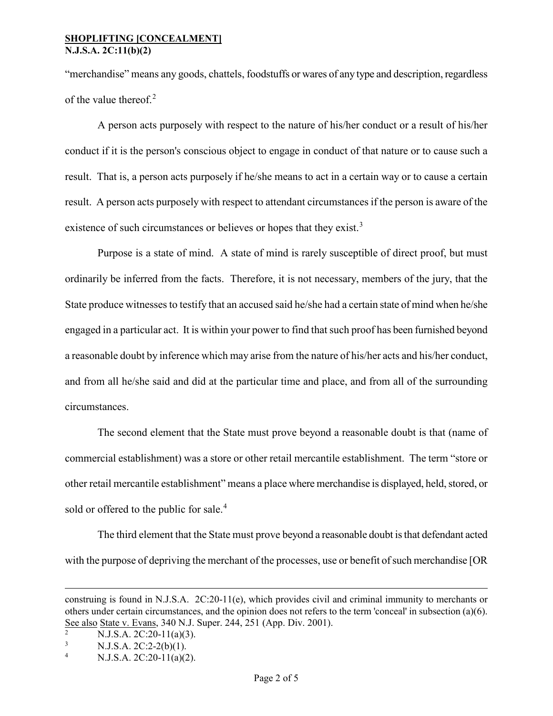#### **SHOPLIFTING [CONCEALMENT] N.J.S.A. 2C:11(b)(2)**

"merchandise" means any goods, chattels, foodstuffs or wares of any type and description, regardless of the value thereof.<sup>[2](#page-1-0)</sup>

A person acts purposely with respect to the nature of his/her conduct or a result of his/her conduct if it is the person's conscious object to engage in conduct of that nature or to cause such a result. That is, a person acts purposely if he/she means to act in a certain way or to cause a certain result. A person acts purposely with respect to attendant circumstances if the person is aware of the existence of such circumstances or believes or hopes that they exist.<sup>[3](#page-1-1)</sup>

Purpose is a state of mind. A state of mind is rarely susceptible of direct proof, but must ordinarily be inferred from the facts. Therefore, it is not necessary, members of the jury, that the State produce witnesses to testify that an accused said he/she had a certain state of mind when he/she engaged in a particular act. It is within your power to find that such proof has been furnished beyond a reasonable doubt by inference which may arise from the nature of his/her acts and his/her conduct, and from all he/she said and did at the particular time and place, and from all of the surrounding circumstances.

The second element that the State must prove beyond a reasonable doubt is that (name of commercial establishment) was a store or other retail mercantile establishment. The term "store or other retail mercantile establishment" means a place where merchandise is displayed, held, stored, or sold or offered to the public for sale.<sup>[4](#page-1-2)</sup>

The third element that the State must prove beyond a reasonable doubt is that defendant acted with the purpose of depriving the merchant of the processes, use or benefit of such merchandise [OR

 $\overline{a}$ 

construing is found in N.J.S.A. 2C:20-11(e), which provides civil and criminal immunity to merchants or others under certain circumstances, and the opinion does not refers to the term 'conceal' in subsection (a)(6). See also State v. Evans, 340 N.J. Super. 244, 251 (App. Div. 2001).<br> $\frac{2}{(2.5 \times 10^{-11} \text{ s})} = 2.44 \times 10^{-10} \text{ s}$ 

<span id="page-1-0"></span>N.J.S.A. 2C:20-11(a)(3).

<span id="page-1-1"></span> $3$  N.J.S.A. 2C:2-2(b)(1).

<span id="page-1-2"></span><sup>4</sup> N.J.S.A. 2C:20-11(a)(2).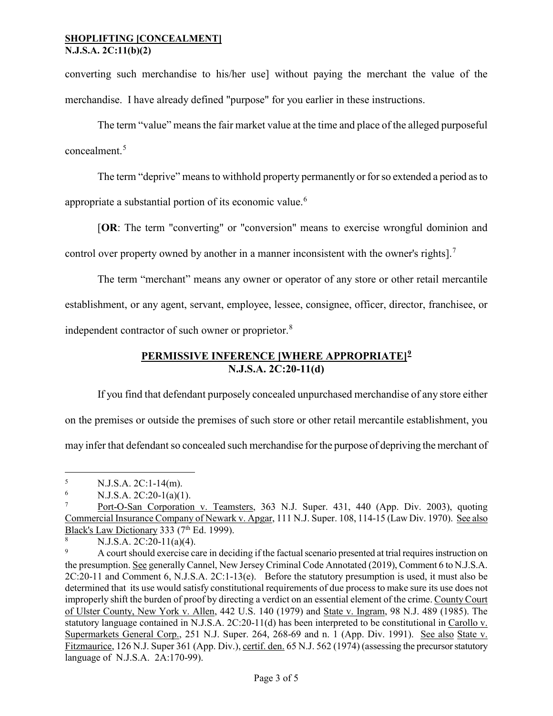converting such merchandise to his/her use] without paying the merchant the value of the merchandise. I have already defined "purpose" for you earlier in these instructions.

The term "value" means the fair market value at the time and place of the alleged purposeful concealment.[5](#page-2-0)

The term "deprive" means to withhold property permanently or for so extended a period as to

appropriate a substantial portion of its economic value.<sup>[6](#page-2-1)</sup>

[**OR**: The term "converting" or "conversion" means to exercise wrongful dominion and

control over property owned by another in a manner inconsistent with the owner's rights].<sup>[7](#page-2-2)</sup>

The term "merchant" means any owner or operator of any store or other retail mercantile establishment, or any agent, servant, employee, lessee, consignee, officer, director, franchisee, or independent contractor of such owner or proprietor.[8](#page-2-3)

## **PERMISSIVE INFERENCE [WHERE APPROPRIATE][9](#page-2-4) N.J.S.A. 2C:20-11(d)**

If you find that defendant purposely concealed unpurchased merchandise of any store either on the premises or outside the premises of such store or other retail mercantile establishment, you may infer that defendant so concealed such merchandise for the purpose of depriving the merchant of

<span id="page-2-0"></span> $\frac{5}{6}$  N.J.S.A. 2C:1-14(m).

<span id="page-2-1"></span> $\frac{6}{7}$  N.J.S.A. 2C:20-1(a)(1).

<span id="page-2-2"></span>Port-O-San Corporation v. Teamsters, 363 N.J. Super. 431, 440 (App. Div. 2003), quoting Commercial Insurance Company of Newark v. Apgar, 111 N.J. Super. 108, 114-15 (Law Div. 1970). See also Black's Law Dictionary 333 (7<sup>th</sup> Ed. 1999).

<span id="page-2-3"></span><sup>&</sup>lt;sup>8</sup> N.J.S.A. 2C:20-11(a)(4).

<span id="page-2-4"></span><sup>9</sup> A court should exercise care in deciding if the factual scenario presented at trial requires instruction on the presumption. See generally Cannel, New Jersey Criminal Code Annotated (2019), Comment 6 to N.J.S.A. 2C:20-11 and Comment 6, N.J.S.A. 2C:1-13(e). Before the statutory presumption is used, it must also be determined that its use would satisfy constitutional requirements of due process to make sure its use does not improperly shift the burden of proof by directing a verdict on an essential element of the crime. County Court of Ulster County, New York v. Allen, 442 U.S. 140 (1979) and State v. Ingram, 98 N.J. 489 (1985). The statutory language contained in N.J.S.A. 2C:20-11(d) has been interpreted to be constitutional in Carollo v. Supermarkets General Corp., 251 N.J. Super. 264, 268-69 and n. 1 (App. Div. 1991). See also State v. Fitzmaurice, 126 N.J. Super 361 (App. Div.), certif. den. 65 N.J. 562 (1974) (assessing the precursor statutory language of N.J.S.A. 2A:170-99).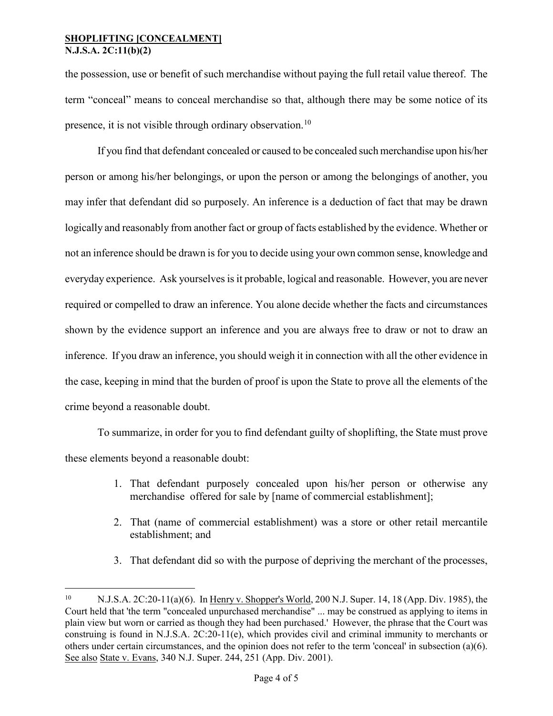### **SHOPLIFTING [CONCEALMENT] N.J.S.A. 2C:11(b)(2)**

the possession, use or benefit of such merchandise without paying the full retail value thereof. The term "conceal" means to conceal merchandise so that, although there may be some notice of its presence, it is not visible through ordinary observation.<sup>[10](#page-3-0)</sup>

If you find that defendant concealed or caused to be concealed such merchandise upon his/her person or among his/her belongings, or upon the person or among the belongings of another, you may infer that defendant did so purposely. An inference is a deduction of fact that may be drawn logically and reasonably from another fact or group of facts established by the evidence. Whether or not an inference should be drawn is for you to decide using your own common sense, knowledge and everyday experience. Ask yourselves is it probable, logical and reasonable. However, you are never required or compelled to draw an inference. You alone decide whether the facts and circumstances shown by the evidence support an inference and you are always free to draw or not to draw an inference. If you draw an inference, you should weigh it in connection with all the other evidence in the case, keeping in mind that the burden of proof is upon the State to prove all the elements of the crime beyond a reasonable doubt.

To summarize, in order for you to find defendant guilty of shoplifting, the State must prove these elements beyond a reasonable doubt:

- 1. That defendant purposely concealed upon his/her person or otherwise any merchandise offered for sale by [name of commercial establishment];
- 2. That (name of commercial establishment) was a store or other retail mercantile establishment; and
- 3. That defendant did so with the purpose of depriving the merchant of the processes,

<span id="page-3-0"></span> <sup>10</sup> N.J.S.A. 2C:20-11(a)(6). In Henry v. Shopper's World, 200 N.J. Super. 14, 18 (App. Div. 1985), the Court held that 'the term "concealed unpurchased merchandise" ... may be construed as applying to items in plain view but worn or carried as though they had been purchased.' However, the phrase that the Court was construing is found in N.J.S.A. 2C:20-11(e), which provides civil and criminal immunity to merchants or others under certain circumstances, and the opinion does not refer to the term 'conceal' in subsection (a)(6). See also State v. Evans, 340 N.J. Super. 244, 251 (App. Div. 2001).